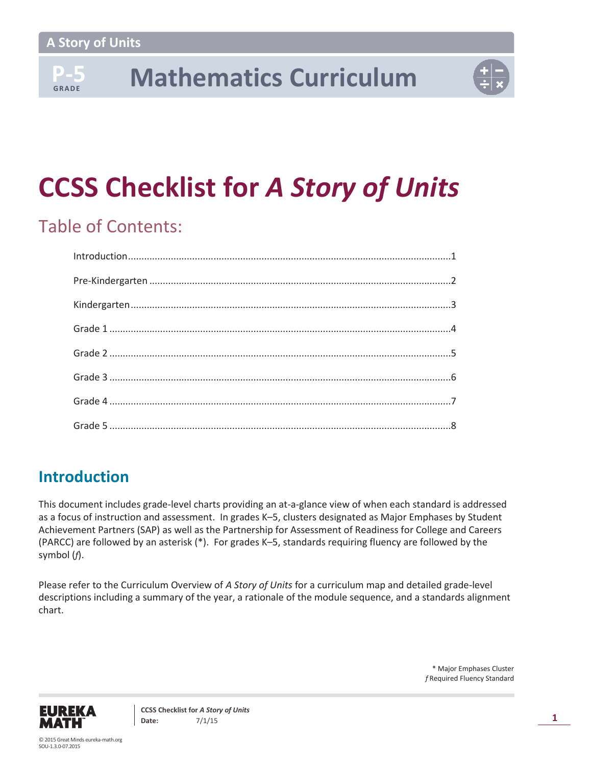**G R A D E**

## **P-5 Mathematics Curriculum**



## **CCSS Checklist for** *A Story of Units*

## Table of Contents:

## **Introduction**

This document includes grade-level charts providing an at-a-glance view of when each standard is addressed as a focus of instruction and assessment. In grades K–5, clusters designated as Major Emphases by Student Achievement Partners (SAP) as well as the Partnership for Assessment of Readiness for College and Careers (PARCC) are followed by an asterisk (\*). For grades K–5, standards requiring fluency are followed by the symbol (*f*).

Please refer to the Curriculum Overview of *A Story of Units* for a curriculum map and detailed grade-level descriptions including a summary of the year, a rationale of the module sequence, and a standards alignment chart.

> \* Major Emphases Cluster *f* Required Fluency Standard

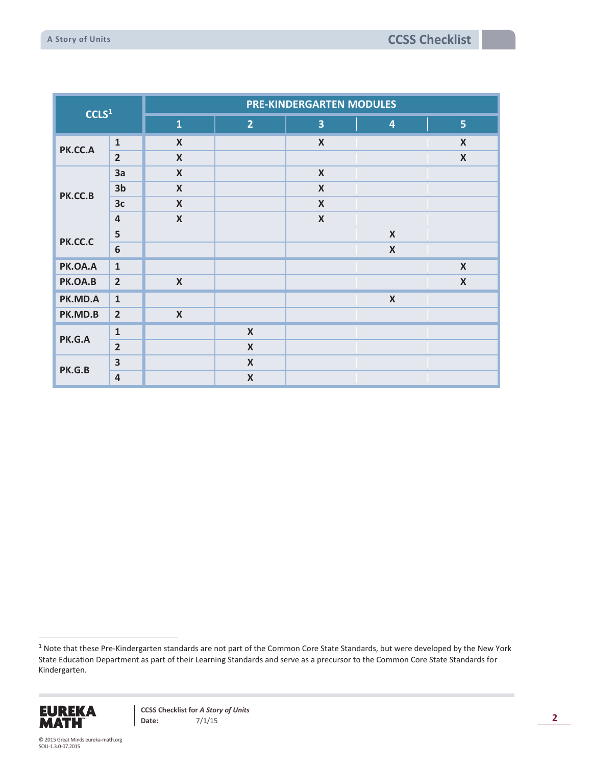| CCLS <sup>1</sup> |                         | PRE-KINDERGARTEN MODULES  |                           |                           |                           |                           |  |  |  |  |
|-------------------|-------------------------|---------------------------|---------------------------|---------------------------|---------------------------|---------------------------|--|--|--|--|
|                   |                         | $\mathbf{1}$              | 2 <sup>1</sup>            | $\overline{\mathbf{3}}$   | $\overline{\mathbf{4}}$   | 5 <sub>1</sub>            |  |  |  |  |
| PK.CC.A           | $\mathbf{1}$            | $\boldsymbol{X}$          |                           | $\boldsymbol{X}$          |                           | $\boldsymbol{X}$          |  |  |  |  |
|                   | $\overline{2}$          | $\boldsymbol{\mathsf{X}}$ |                           |                           |                           | $\boldsymbol{\mathsf{X}}$ |  |  |  |  |
|                   | 3a                      | $\boldsymbol{X}$          |                           | $\pmb{\mathsf{X}}$        |                           |                           |  |  |  |  |
| PK.CC.B           | 3 <sub>b</sub>          | $\boldsymbol{X}$          |                           | $\boldsymbol{\mathsf{X}}$ |                           |                           |  |  |  |  |
|                   | 3c                      | $\boldsymbol{X}$          |                           | $\boldsymbol{\mathsf{X}}$ |                           |                           |  |  |  |  |
|                   | $\overline{a}$          | $\boldsymbol{X}$          |                           | $\boldsymbol{\mathsf{X}}$ |                           |                           |  |  |  |  |
| PK.CC.C           | 5                       |                           |                           |                           | $\boldsymbol{X}$          |                           |  |  |  |  |
|                   | $\boldsymbol{6}$        |                           |                           |                           | $\pmb{\mathsf{X}}$        |                           |  |  |  |  |
| PK.OA.A           | $\mathbf{1}$            |                           |                           |                           |                           | $\boldsymbol{\mathsf{X}}$ |  |  |  |  |
| PK.OA.B           | $\overline{2}$          | $\boldsymbol{X}$          |                           |                           |                           | $\boldsymbol{\mathsf{X}}$ |  |  |  |  |
| PK.MD.A           | $\mathbf{1}$            |                           |                           |                           | $\boldsymbol{\mathsf{X}}$ |                           |  |  |  |  |
| PK.MD.B           | $\overline{2}$          | $\boldsymbol{\mathsf{X}}$ |                           |                           |                           |                           |  |  |  |  |
| PK.G.A            | $\mathbf{1}$            |                           | $\boldsymbol{X}$          |                           |                           |                           |  |  |  |  |
|                   | $\overline{2}$          |                           | $\pmb{\mathsf{X}}$        |                           |                           |                           |  |  |  |  |
| PK.G.B            | $\overline{\mathbf{3}}$ |                           | $\boldsymbol{\mathsf{X}}$ |                           |                           |                           |  |  |  |  |
|                   | $\overline{a}$          |                           | $\boldsymbol{X}$          |                           |                           |                           |  |  |  |  |

**<sup>1</sup>** Note that these Pre-Kindergarten standards are not part of the Common Core State Standards, but were developed by the New York State Education Department as part of their Learning Standards and serve as a precursor to the Common Core State Standards for Kindergarten.



 $\ddot{\phantom{a}}$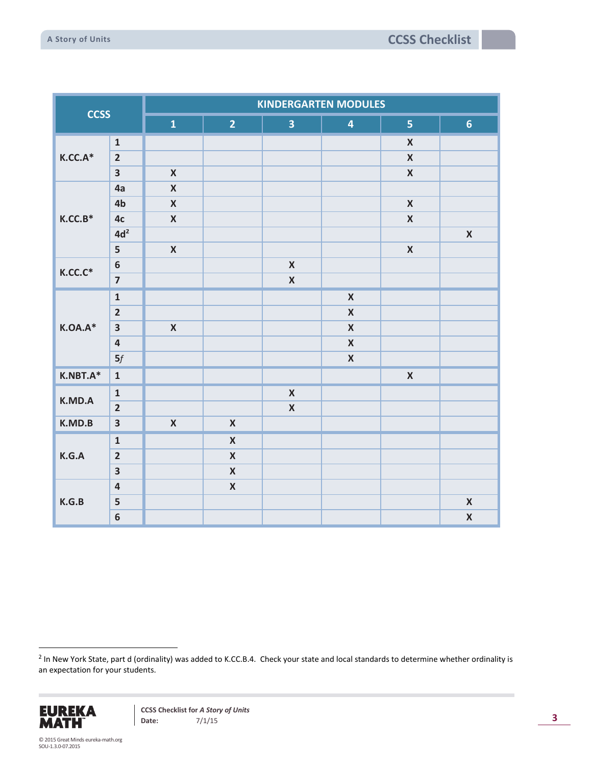| <b>CCSS</b> |                         | <b>KINDERGARTEN MODULES</b> |                    |                         |                         |                         |                    |  |  |  |
|-------------|-------------------------|-----------------------------|--------------------|-------------------------|-------------------------|-------------------------|--------------------|--|--|--|
|             |                         | $\mathbf{1}$                | $\overline{2}$     | $\overline{\mathbf{3}}$ | $\overline{\mathbf{4}}$ | $\overline{\mathbf{5}}$ | 6 <sup>1</sup>     |  |  |  |
|             | $\mathbf 1$             |                             |                    |                         |                         | $\pmb{\mathsf{X}}$      |                    |  |  |  |
| $K.CC.A*$   | $\overline{2}$          |                             |                    |                         |                         | $\pmb{\mathsf{X}}$      |                    |  |  |  |
|             | $\overline{\mathbf{3}}$ | $\pmb{\mathsf{X}}$          |                    |                         |                         | $\pmb{\mathsf{X}}$      |                    |  |  |  |
|             | 4a                      | $\pmb{\mathsf{X}}$          |                    |                         |                         |                         |                    |  |  |  |
|             | 4b                      | $\pmb{\mathsf{X}}$          |                    |                         |                         | $\pmb{\mathsf{X}}$      |                    |  |  |  |
| $K.CC.B*$   | 4c                      | $\pmb{\mathsf{X}}$          |                    |                         |                         | $\pmb{\mathsf{X}}$      |                    |  |  |  |
|             | 4d <sup>2</sup>         |                             |                    |                         |                         |                         | $\pmb{\mathsf{X}}$ |  |  |  |
|             | 5                       | $\pmb{\mathsf{X}}$          |                    |                         |                         | $\pmb{\mathsf{X}}$      |                    |  |  |  |
| $K.CC.C^*$  | $\boldsymbol{6}$        |                             |                    | $\pmb{\mathsf{X}}$      |                         |                         |                    |  |  |  |
|             | $\overline{7}$          |                             |                    | $\pmb{\mathsf{X}}$      |                         |                         |                    |  |  |  |
|             | $\mathbf 1$             |                             |                    |                         | $\pmb{\mathsf{X}}$      |                         |                    |  |  |  |
|             | $\overline{2}$          |                             |                    |                         | $\pmb{\mathsf{X}}$      |                         |                    |  |  |  |
| $K.OA.A*$   | $\overline{\mathbf{3}}$ | $\pmb{\mathsf{X}}$          |                    |                         | $\pmb{\mathsf{X}}$      |                         |                    |  |  |  |
|             | $\overline{\mathbf{4}}$ |                             |                    |                         | $\pmb{\mathsf{X}}$      |                         |                    |  |  |  |
|             | 5f                      |                             |                    |                         | $\pmb{\mathsf{X}}$      |                         |                    |  |  |  |
| $K.NBT.A*$  | $\mathbf{1}$            |                             |                    |                         |                         | $\pmb{\mathsf{X}}$      |                    |  |  |  |
| K.MD.A      | $\mathbf{1}$            |                             |                    | $\pmb{\mathsf{X}}$      |                         |                         |                    |  |  |  |
|             | $\overline{2}$          |                             |                    | $\pmb{\mathsf{X}}$      |                         |                         |                    |  |  |  |
| K.MD.B      | $\overline{\mathbf{3}}$ | $\pmb{\mathsf{X}}$          | $\pmb{\mathsf{X}}$ |                         |                         |                         |                    |  |  |  |
|             | $\mathbf{1}$            |                             | $\pmb{\mathsf{X}}$ |                         |                         |                         |                    |  |  |  |
| K.G.A       | $\overline{2}$          |                             | $\pmb{\mathsf{X}}$ |                         |                         |                         |                    |  |  |  |
|             | $\overline{\mathbf{3}}$ |                             | $\pmb{\mathsf{X}}$ |                         |                         |                         |                    |  |  |  |
|             | $\overline{\mathbf{4}}$ |                             | $\pmb{\mathsf{X}}$ |                         |                         |                         |                    |  |  |  |
| K.G.B       | 5                       |                             |                    |                         |                         |                         | $\pmb{\mathsf{X}}$ |  |  |  |
|             | $\bf 6$                 |                             |                    |                         |                         |                         | $\pmb{\mathsf{X}}$ |  |  |  |

 2 In New York State, part d (ordinality) was added to K.CC.B.4. Check your state and local standards to determine whether ordinality is an expectation for your students.

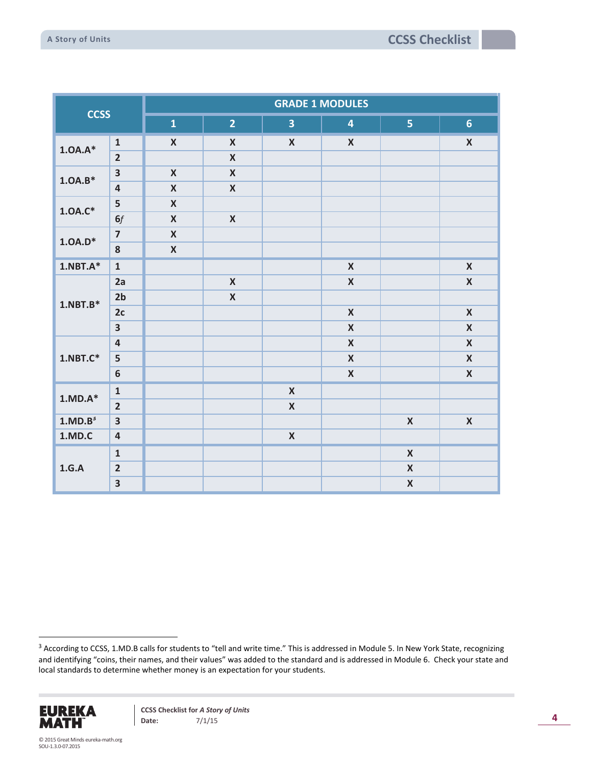| <b>CCSS</b>         |                         | <b>GRADE 1 MODULES</b> |                           |                         |                         |                    |                    |  |  |  |
|---------------------|-------------------------|------------------------|---------------------------|-------------------------|-------------------------|--------------------|--------------------|--|--|--|
|                     |                         | $\mathbf{1}$           | $\overline{2}$            | $\overline{\mathbf{3}}$ | $\overline{\mathbf{4}}$ | 5 <sub>1</sub>     | $6\phantom{a}$     |  |  |  |
| $1.0A.A*$           | $\mathbf 1$             | $\pmb{\mathsf{X}}$     | $\pmb{\mathsf{X}}$        | $\pmb{\mathsf{X}}$      | $\pmb{\mathsf{X}}$      |                    | $\pmb{\mathsf{X}}$ |  |  |  |
|                     | $\overline{2}$          |                        | $\mathsf{X}$              |                         |                         |                    |                    |  |  |  |
|                     | $\overline{\mathbf{3}}$ | $\pmb{\mathsf{X}}$     | $\boldsymbol{\mathsf{X}}$ |                         |                         |                    |                    |  |  |  |
| $1.0A.B*$           | $\overline{\mathbf{4}}$ | $\boldsymbol{X}$       | $\pmb{\mathsf{X}}$        |                         |                         |                    |                    |  |  |  |
| $1.0A.C*$           | 5                       | $\pmb{\mathsf{X}}$     |                           |                         |                         |                    |                    |  |  |  |
|                     | 6f                      | $\pmb{\mathsf{X}}$     | $\pmb{\mathsf{X}}$        |                         |                         |                    |                    |  |  |  |
| $1.0A.D^*$          | $\overline{7}$          | $\pmb{\mathsf{X}}$     |                           |                         |                         |                    |                    |  |  |  |
|                     | ${\bf 8}$               | $\pmb{\mathsf{X}}$     |                           |                         |                         |                    |                    |  |  |  |
| $1.$ NBT $.A*$      | $\mathbf{1}$            |                        |                           |                         | $\pmb{\mathsf{X}}$      |                    | $\pmb{\mathsf{X}}$ |  |  |  |
|                     | 2a                      |                        | $\pmb{\mathsf{X}}$        |                         | $\pmb{\mathsf{X}}$      |                    | $\pmb{\mathsf{X}}$ |  |  |  |
| $1.NBT.B*$          | 2 <sub>b</sub>          |                        | $\pmb{\mathsf{X}}$        |                         |                         |                    |                    |  |  |  |
|                     | 2c                      |                        |                           |                         | $\pmb{\mathsf{X}}$      |                    | $\pmb{\mathsf{X}}$ |  |  |  |
|                     | $\overline{\mathbf{3}}$ |                        |                           |                         | $\pmb{\mathsf{X}}$      |                    | $\pmb{\mathsf{X}}$ |  |  |  |
|                     | $\overline{\mathbf{4}}$ |                        |                           |                         | $\pmb{\mathsf{X}}$      |                    | $\pmb{\mathsf{X}}$ |  |  |  |
| $1.NBT.C*$          | 5                       |                        |                           |                         | $\pmb{\mathsf{X}}$      |                    | $\pmb{\mathsf{X}}$ |  |  |  |
|                     | $\boldsymbol{6}$        |                        |                           |                         | $\pmb{\mathsf{X}}$      |                    | $\pmb{\mathsf{X}}$ |  |  |  |
| $1.MD.A*$           | $\mathbf 1$             |                        |                           | $\pmb{\mathsf{X}}$      |                         |                    |                    |  |  |  |
|                     | $\overline{2}$          |                        |                           | $\pmb{\mathsf{X}}$      |                         |                    |                    |  |  |  |
| 1.MD.B <sup>3</sup> | $\overline{\mathbf{3}}$ |                        |                           |                         |                         | $\pmb{\mathsf{X}}$ | $\pmb{\mathsf{X}}$ |  |  |  |
| 1.MD.C              | $\overline{\mathbf{4}}$ |                        |                           | $\pmb{\mathsf{X}}$      |                         |                    |                    |  |  |  |
|                     | $\mathbf{1}$            |                        |                           |                         |                         | $\pmb{\mathsf{X}}$ |                    |  |  |  |
| 1.G.A               | $\overline{2}$          |                        |                           |                         |                         | $\pmb{\mathsf{X}}$ |                    |  |  |  |
|                     | $\overline{\mathbf{3}}$ |                        |                           |                         |                         | $\pmb{\mathsf{X}}$ |                    |  |  |  |

<sup>&</sup>lt;sup>3</sup> According to CCSS, 1.MD.B calls for students to "tell and write time." This is addressed in Module 5. In New York State, recognizing and identifying "coins, their names, and their values" was added to the standard and is addressed in Module 6. Check your state and local standards to determine whether money is an expectation for your students.



 $\ddot{\phantom{a}}$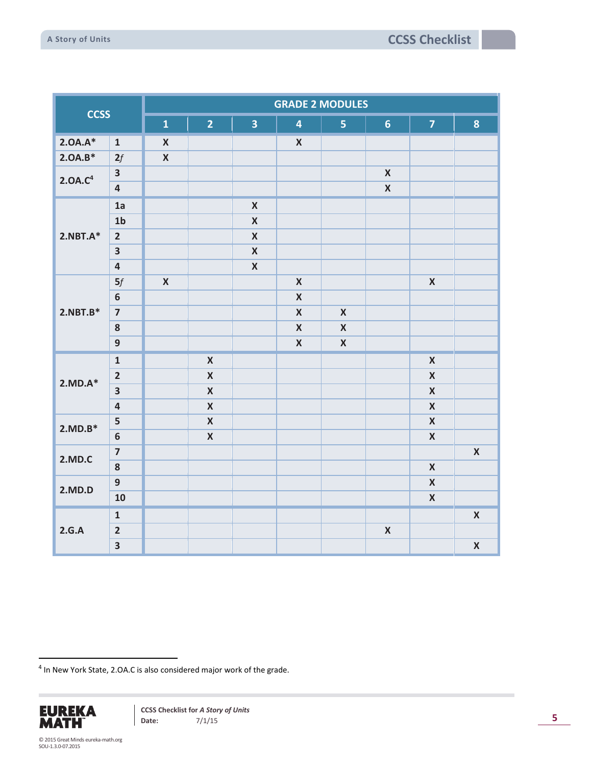| <b>CCSS</b>         |                         | <b>GRADE 2 MODULES</b> |                    |                         |                         |                         |                     |                    |                    |  |  |
|---------------------|-------------------------|------------------------|--------------------|-------------------------|-------------------------|-------------------------|---------------------|--------------------|--------------------|--|--|
|                     |                         | $\mathbf{1}$           | 2 <sup>1</sup>     | $\overline{\mathbf{3}}$ | $\overline{\mathbf{4}}$ | $\overline{\mathbf{5}}$ | $6 \nightharpoonup$ | $\overline{7}$     | 8                  |  |  |
| $2.0A.A*$           | $\mathbf{1}$            | $\pmb{\mathsf{X}}$     |                    |                         | $\pmb{\mathsf{X}}$      |                         |                     |                    |                    |  |  |
| $2.0A.B*$           | 2f                      | $\pmb{\mathsf{X}}$     |                    |                         |                         |                         |                     |                    |                    |  |  |
| 2.0A.C <sup>4</sup> | $\overline{\mathbf{3}}$ |                        |                    |                         |                         |                         | $\pmb{\mathsf{X}}$  |                    |                    |  |  |
|                     | $\overline{\mathbf{4}}$ |                        |                    |                         |                         |                         | $\pmb{\mathsf{X}}$  |                    |                    |  |  |
|                     | 1a                      |                        |                    | $\pmb{\mathsf{X}}$      |                         |                         |                     |                    |                    |  |  |
|                     | 1 <sub>b</sub>          |                        |                    | $\pmb{\mathsf{X}}$      |                         |                         |                     |                    |                    |  |  |
| $2.NBT.A*$          | $\overline{2}$          |                        |                    | $\pmb{\mathsf{X}}$      |                         |                         |                     |                    |                    |  |  |
|                     | $\overline{\mathbf{3}}$ |                        |                    | $\pmb{\mathsf{X}}$      |                         |                         |                     |                    |                    |  |  |
|                     | $\overline{\mathbf{4}}$ |                        |                    | $\pmb{\mathsf{X}}$      |                         |                         |                     |                    |                    |  |  |
|                     | 5f                      | $\pmb{\mathsf{X}}$     |                    |                         | $\pmb{\mathsf{X}}$      |                         |                     | $\pmb{\mathsf{X}}$ |                    |  |  |
|                     | $\bf 6$                 |                        |                    |                         | $\pmb{\mathsf{X}}$      |                         |                     |                    |                    |  |  |
| $2.NBT.B*$          | $\overline{\mathbf{z}}$ |                        |                    |                         | $\pmb{\mathsf{X}}$      | $\pmb{\mathsf{X}}$      |                     |                    |                    |  |  |
|                     | ${\bf 8}$               |                        |                    |                         | $\pmb{\mathsf{X}}$      | $\pmb{\mathsf{X}}$      |                     |                    |                    |  |  |
|                     | $\overline{9}$          |                        |                    |                         | $\pmb{\mathsf{X}}$      | $\pmb{\mathsf{X}}$      |                     |                    |                    |  |  |
|                     | $\mathbf{1}$            |                        | $\pmb{\mathsf{X}}$ |                         |                         |                         |                     | $\pmb{\mathsf{X}}$ |                    |  |  |
| $2.MD.A*$           | $\overline{2}$          |                        | $\pmb{\mathsf{X}}$ |                         |                         |                         |                     | $\pmb{\mathsf{X}}$ |                    |  |  |
|                     | $\overline{\mathbf{3}}$ |                        | $\pmb{\mathsf{X}}$ |                         |                         |                         |                     | $\pmb{\mathsf{X}}$ |                    |  |  |
|                     | $\overline{\mathbf{4}}$ |                        | $\pmb{\mathsf{X}}$ |                         |                         |                         |                     | $\pmb{\mathsf{X}}$ |                    |  |  |
| $2.MD.B*$           | 5                       |                        | $\pmb{\mathsf{X}}$ |                         |                         |                         |                     | $\pmb{\mathsf{X}}$ |                    |  |  |
|                     | $\boldsymbol{6}$        |                        | $\pmb{\mathsf{X}}$ |                         |                         |                         |                     | $\pmb{\mathsf{X}}$ |                    |  |  |
| 2.MD.C              | $\overline{\mathbf{z}}$ |                        |                    |                         |                         |                         |                     |                    | $\pmb{\mathsf{X}}$ |  |  |
|                     | 8                       |                        |                    |                         |                         |                         |                     | $\pmb{\mathsf{X}}$ |                    |  |  |
| 2.MD.D              | $\overline{9}$          |                        |                    |                         |                         |                         |                     | $\pmb{\mathsf{X}}$ |                    |  |  |
|                     | 10                      |                        |                    |                         |                         |                         |                     | $\pmb{\mathsf{X}}$ |                    |  |  |
|                     | $\mathbf{1}$            |                        |                    |                         |                         |                         |                     |                    | $\pmb{\mathsf{X}}$ |  |  |
| 2.G.A               | $\overline{\mathbf{2}}$ |                        |                    |                         |                         |                         | $\pmb{\mathsf{X}}$  |                    |                    |  |  |
|                     | $\overline{\mathbf{3}}$ |                        |                    |                         |                         |                         |                     |                    | $\pmb{\mathsf{X}}$ |  |  |

<sup>4</sup> In New York State, 2.OA.C is also considered major work of the grade.



 $\overline{a}$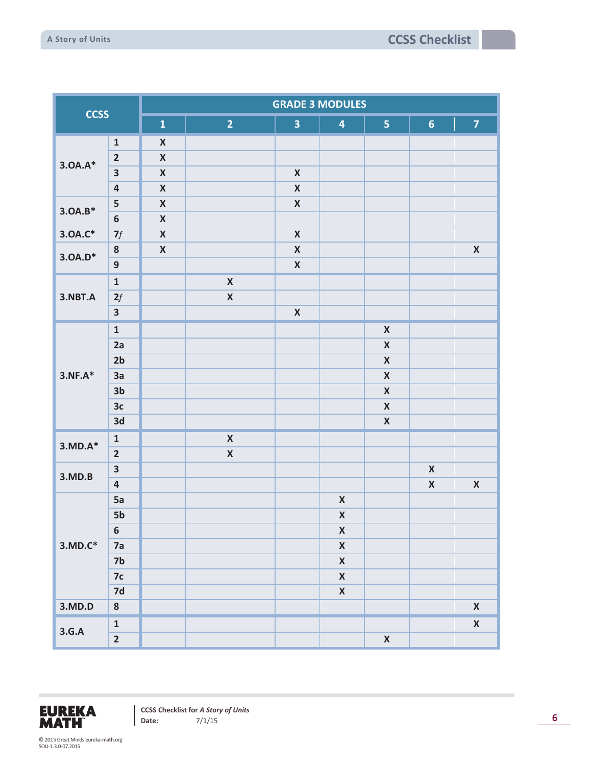| <b>CCSS</b> |                         | <b>GRADE 3 MODULES</b> |                    |                         |                         |                    |                    |                    |  |  |  |
|-------------|-------------------------|------------------------|--------------------|-------------------------|-------------------------|--------------------|--------------------|--------------------|--|--|--|
|             |                         | $\mathbf{1}$           | $\overline{2}$     | $\overline{\mathbf{3}}$ | $\overline{\mathbf{4}}$ | 5 <sub>1</sub>     | 6 <sup>1</sup>     | $\overline{7}$     |  |  |  |
|             | $\mathbf 1$             | $\pmb{\mathsf{X}}$     |                    |                         |                         |                    |                    |                    |  |  |  |
| $3.0A.A*$   | $\mathbf 2$             | $\pmb{\mathsf{X}}$     |                    |                         |                         |                    |                    |                    |  |  |  |
|             | $\overline{\mathbf{3}}$ | $\pmb{\mathsf{X}}$     |                    | $\pmb{\mathsf{X}}$      |                         |                    |                    |                    |  |  |  |
|             | $\overline{\mathbf{4}}$ | $\pmb{\mathsf{X}}$     |                    | $\pmb{\mathsf{X}}$      |                         |                    |                    |                    |  |  |  |
| $3.0A.B*$   | ${\sf 5}$               | $\pmb{\mathsf{X}}$     |                    | $\pmb{\mathsf{X}}$      |                         |                    |                    |                    |  |  |  |
|             | $\boldsymbol{6}$        | $\pmb{\mathsf{X}}$     |                    |                         |                         |                    |                    |                    |  |  |  |
| $3.0A.C*$   | $\boldsymbol{\eta}$     | $\pmb{\mathsf{X}}$     |                    | $\pmb{\mathsf{X}}$      |                         |                    |                    |                    |  |  |  |
| $3.0A.D*$   | ${\bf 8}$               | $\pmb{\mathsf{X}}$     |                    | $\pmb{\mathsf{X}}$      |                         |                    |                    | $\pmb{\mathsf{X}}$ |  |  |  |
|             | $\boldsymbol{9}$        |                        |                    | $\pmb{\mathsf{X}}$      |                         |                    |                    |                    |  |  |  |
|             | $\mathbf{1}$            |                        | $\pmb{\mathsf{X}}$ |                         |                         |                    |                    |                    |  |  |  |
| 3.NBT.A     | 2f                      |                        | $\pmb{\mathsf{X}}$ |                         |                         |                    |                    |                    |  |  |  |
|             | $\overline{\mathbf{3}}$ |                        |                    | $\pmb{\mathsf{X}}$      |                         |                    |                    |                    |  |  |  |
|             | $\mathbf 1$             |                        |                    |                         |                         | $\pmb{\mathsf{X}}$ |                    |                    |  |  |  |
|             | 2a                      |                        |                    |                         |                         | $\pmb{\mathsf{X}}$ |                    |                    |  |  |  |
|             | 2 <sub>b</sub>          |                        |                    |                         |                         | $\pmb{\mathsf{X}}$ |                    |                    |  |  |  |
| $3.NF.A*$   | 3a                      |                        |                    |                         |                         | $\pmb{\mathsf{X}}$ |                    |                    |  |  |  |
|             | 3 <sub>b</sub>          |                        |                    |                         |                         | $\pmb{\mathsf{X}}$ |                    |                    |  |  |  |
|             | 3 <sub>c</sub>          |                        |                    |                         |                         | $\pmb{\mathsf{X}}$ |                    |                    |  |  |  |
|             | 3d                      |                        |                    |                         |                         | $\pmb{\mathsf{X}}$ |                    |                    |  |  |  |
|             | $\mathbf 1$             |                        | $\pmb{\mathsf{X}}$ |                         |                         |                    |                    |                    |  |  |  |
| $3.MD.A*$   | $\overline{2}$          |                        | $\pmb{\mathsf{X}}$ |                         |                         |                    |                    |                    |  |  |  |
|             | $\overline{\mathbf{3}}$ |                        |                    |                         |                         |                    | $\pmb{\mathsf{X}}$ |                    |  |  |  |
| 3.MD.B      | $\overline{\mathbf{4}}$ |                        |                    |                         |                         |                    | $\pmb{\mathsf{X}}$ | $\pmb{\mathsf{X}}$ |  |  |  |
|             | 5a                      |                        |                    |                         | $\pmb{\mathsf{X}}$      |                    |                    |                    |  |  |  |
|             | 5b                      |                        |                    |                         | $\pmb{\mathsf{X}}$      |                    |                    |                    |  |  |  |
|             | $\boldsymbol{6}$        |                        |                    |                         | $\pmb{\mathsf{X}}$      |                    |                    |                    |  |  |  |
| $3.MD.C*$   | 7a                      |                        |                    |                         | $\pmb{\mathsf{X}}$      |                    |                    |                    |  |  |  |
|             | $7b$                    |                        |                    |                         | $\pmb{\mathsf{X}}$      |                    |                    |                    |  |  |  |
|             | 7c                      |                        |                    |                         | $\pmb{\mathsf{X}}$      |                    |                    |                    |  |  |  |
|             | 7d                      |                        |                    |                         | $\pmb{\mathsf{X}}$      |                    |                    |                    |  |  |  |
| 3.MD.D      | ${\bf 8}$               |                        |                    |                         |                         |                    |                    | $\pmb{\mathsf{X}}$ |  |  |  |
|             | $\mathbf 1$             |                        |                    |                         |                         |                    |                    | $\pmb{\mathsf{X}}$ |  |  |  |
| 3.G.A       | $\overline{\mathbf{2}}$ |                        |                    |                         |                         | $\pmb{\mathsf{X}}$ |                    |                    |  |  |  |

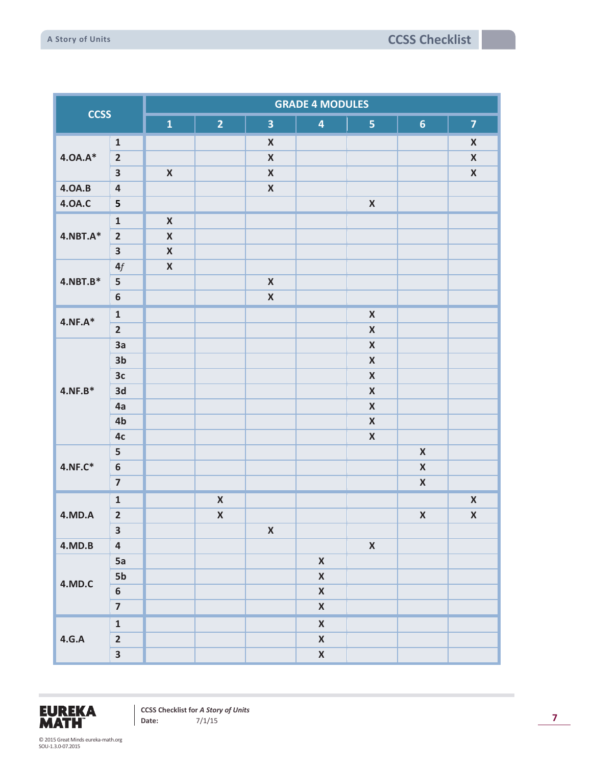| <b>CCSS</b>     |                         | <b>GRADE 4 MODULES</b> |                    |                         |                         |                    |                    |                    |  |  |  |
|-----------------|-------------------------|------------------------|--------------------|-------------------------|-------------------------|--------------------|--------------------|--------------------|--|--|--|
|                 |                         | $\mathbf{1}$           | $\overline{2}$     | $\overline{\mathbf{3}}$ | $\overline{\mathbf{4}}$ | 5 <sub>1</sub>     | 6 <sup>1</sup>     | $\overline{7}$     |  |  |  |
|                 | $\mathbf 1$             |                        |                    | $\pmb{\mathsf{X}}$      |                         |                    |                    | $\pmb{\mathsf{X}}$ |  |  |  |
| $4.0A.A*$       | $\overline{\mathbf{2}}$ |                        |                    | $\pmb{\mathsf{X}}$      |                         |                    |                    | $\pmb{\mathsf{X}}$ |  |  |  |
|                 | $\overline{\mathbf{3}}$ | $\pmb{\mathsf{X}}$     |                    | $\pmb{\mathsf{X}}$      |                         |                    |                    | $\pmb{\mathsf{X}}$ |  |  |  |
| <b>4.0A.B</b>   | $\pmb{4}$               |                        |                    | $\pmb{\mathsf{X}}$      |                         |                    |                    |                    |  |  |  |
| <b>4.0A.C</b>   | 5                       |                        |                    |                         |                         | $\pmb{\mathsf{X}}$ |                    |                    |  |  |  |
|                 | $\mathbf 1$             | $\pmb{\mathsf{X}}$     |                    |                         |                         |                    |                    |                    |  |  |  |
| $4.$ NBT. $A^*$ | $\overline{2}$          | $\pmb{\mathsf{X}}$     |                    |                         |                         |                    |                    |                    |  |  |  |
|                 | $\overline{\mathbf{3}}$ | $\pmb{\mathsf{X}}$     |                    |                         |                         |                    |                    |                    |  |  |  |
|                 | $4f$                    | $\pmb{\mathsf{X}}$     |                    |                         |                         |                    |                    |                    |  |  |  |
| $4.$ NBT.B $*$  | 5                       |                        |                    | $\pmb{\mathsf{X}}$      |                         |                    |                    |                    |  |  |  |
|                 | $\boldsymbol{6}$        |                        |                    | $\pmb{\mathsf{X}}$      |                         |                    |                    |                    |  |  |  |
|                 | $\mathbf 1$             |                        |                    |                         |                         | $\pmb{\mathsf{X}}$ |                    |                    |  |  |  |
| $4.NF.A*$       | $\overline{2}$          |                        |                    |                         |                         | $\pmb{\mathsf{X}}$ |                    |                    |  |  |  |
|                 | 3a                      |                        |                    |                         |                         | $\pmb{\mathsf{X}}$ |                    |                    |  |  |  |
|                 | 3 <sub>b</sub>          |                        |                    |                         |                         | $\pmb{\mathsf{X}}$ |                    |                    |  |  |  |
|                 | 3c                      |                        |                    |                         |                         | $\pmb{\mathsf{X}}$ |                    |                    |  |  |  |
| $4.NF.B*$       | 3d                      |                        |                    |                         |                         | $\pmb{\mathsf{X}}$ |                    |                    |  |  |  |
|                 | 4a                      |                        |                    |                         |                         | $\pmb{\mathsf{X}}$ |                    |                    |  |  |  |
|                 | 4b                      |                        |                    |                         |                         | $\pmb{\mathsf{X}}$ |                    |                    |  |  |  |
|                 | 4c                      |                        |                    |                         |                         | $\pmb{\mathsf{X}}$ |                    |                    |  |  |  |
|                 | 5                       |                        |                    |                         |                         |                    | $\pmb{\mathsf{X}}$ |                    |  |  |  |
| 4.NF.C*         | $\bf 6$                 |                        |                    |                         |                         |                    | $\pmb{\mathsf{X}}$ |                    |  |  |  |
|                 | $\overline{7}$          |                        |                    |                         |                         |                    | $\pmb{\mathsf{X}}$ |                    |  |  |  |
|                 | $\mathbf 1$             |                        | $\pmb{\mathsf{X}}$ |                         |                         |                    |                    | $\pmb{\mathsf{X}}$ |  |  |  |
| <b>4.MD.A</b>   | $\overline{\mathbf{2}}$ |                        | $\pmb{\mathsf{X}}$ |                         |                         |                    | $\pmb{\mathsf{X}}$ | $\pmb{\mathsf{X}}$ |  |  |  |
|                 | $\overline{\mathbf{3}}$ |                        |                    | $\pmb{\mathsf{X}}$      |                         |                    |                    |                    |  |  |  |
| 4.MD.B          | $\overline{\mathbf{4}}$ |                        |                    |                         |                         | $\pmb{\mathsf{X}}$ |                    |                    |  |  |  |
|                 | 5a                      |                        |                    |                         | $\pmb{\mathsf{X}}$      |                    |                    |                    |  |  |  |
|                 | 5b                      |                        |                    |                         | $\pmb{\mathsf{X}}$      |                    |                    |                    |  |  |  |
| 4.MD.C          | 6                       |                        |                    |                         | $\pmb{\mathsf{X}}$      |                    |                    |                    |  |  |  |
|                 | $\overline{\mathbf{z}}$ |                        |                    |                         | $\pmb{\mathsf{X}}$      |                    |                    |                    |  |  |  |
|                 | $\mathbf 1$             |                        |                    |                         | $\pmb{\mathsf{X}}$      |                    |                    |                    |  |  |  |
| 4.G.A           | $\overline{\mathbf{2}}$ |                        |                    |                         | $\pmb{\mathsf{X}}$      |                    |                    |                    |  |  |  |
|                 | $\overline{\mathbf{3}}$ |                        |                    |                         | $\pmb{\mathsf{X}}$      |                    |                    |                    |  |  |  |